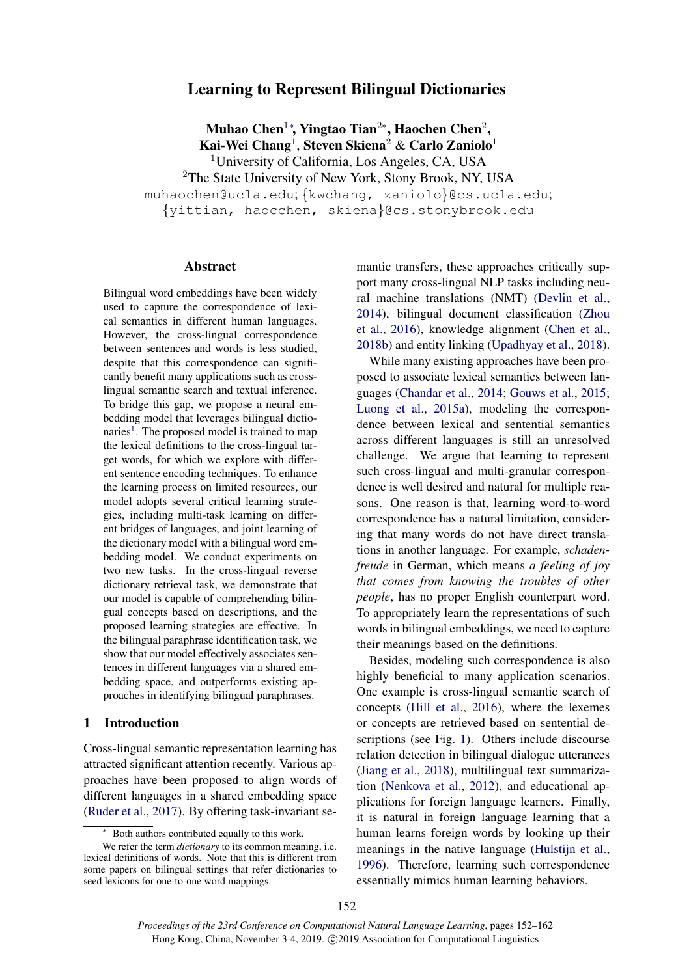# Learning to Represent Bilingual Dictionaries

Muhao Chen $^{1*}$ , Yingtao Tian $^{2*}$ , Haochen Chen $^{2}$ , Kai-Wei Chang $^1$ , Steven Skiena $^2$  & Carlo Zaniolo $^1$ <sup>1</sup>University of California, Los Angeles, CA, USA <sup>2</sup>The State University of New York, Stony Brook, NY, USA muhaochen@ucla.edu; {kwchang, zaniolo}@cs.ucla.edu; {yittian, haocchen, skiena}@cs.stonybrook.edu

#### Abstract

Bilingual word embeddings have been widely used to capture the correspondence of lexical semantics in different human languages. However, the cross-lingual correspondence between sentences and words is less studied, despite that this correspondence can significantly benefit many applications such as crosslingual semantic search and textual inference. To bridge this gap, we propose a neural embedding model that leverages bilingual dictio-naries<sup>[1](#page-0-0)</sup>. The proposed model is trained to map the lexical definitions to the cross-lingual target words, for which we explore with different sentence encoding techniques. To enhance the learning process on limited resources, our model adopts several critical learning strategies, including multi-task learning on different bridges of languages, and joint learning of the dictionary model with a bilingual word embedding model. We conduct experiments on two new tasks. In the cross-lingual reverse dictionary retrieval task, we demonstrate that our model is capable of comprehending bilingual concepts based on descriptions, and the proposed learning strategies are effective. In the bilingual paraphrase identification task, we show that our model effectively associates sentences in different languages via a shared embedding space, and outperforms existing approaches in identifying bilingual paraphrases.

### 1 Introduction

Cross-lingual semantic representation learning has attracted significant attention recently. Various approaches have been proposed to align words of different languages in a shared embedding space [\(Ruder et al.,](#page-10-0) [2017\)](#page-10-0). By offering task-invariant semantic transfers, these approaches critically support many cross-lingual NLP tasks including neural machine translations (NMT) [\(Devlin et al.,](#page-9-0) [2014\)](#page-9-0), bilingual document classification [\(Zhou](#page-10-1) [et al.,](#page-10-1) [2016\)](#page-10-1), knowledge alignment [\(Chen et al.,](#page-8-0) [2018b\)](#page-8-0) and entity linking [\(Upadhyay et al.,](#page-10-2) [2018\)](#page-10-2).

While many existing approaches have been proposed to associate lexical semantics between languages [\(Chandar et al.,](#page-8-1) [2014;](#page-8-1) [Gouws et al.,](#page-9-1) [2015;](#page-9-1) [Luong et al.,](#page-9-2) [2015a\)](#page-9-2), modeling the correspondence between lexical and sentential semantics across different languages is still an unresolved challenge. We argue that learning to represent such cross-lingual and multi-granular correspondence is well desired and natural for multiple reasons. One reason is that, learning word-to-word correspondence has a natural limitation, considering that many words do not have direct translations in another language. For example, *schadenfreude* in German, which means *a feeling of joy that comes from knowing the troubles of other people*, has no proper English counterpart word. To appropriately learn the representations of such words in bilingual embeddings, we need to capture their meanings based on the definitions.

Besides, modeling such correspondence is also highly beneficial to many application scenarios. One example is cross-lingual semantic search of concepts [\(Hill et al.,](#page-9-3) [2016\)](#page-9-3), where the lexemes or concepts are retrieved based on sentential descriptions (see Fig. [1\)](#page-1-0). Others include discourse relation detection in bilingual dialogue utterances [\(Jiang et al.,](#page-9-4) [2018\)](#page-9-4), multilingual text summarization [\(Nenkova et al.,](#page-10-3) [2012\)](#page-10-3), and educational applications for foreign language learners. Finally, it is natural in foreign language learning that a human learns foreign words by looking up their meanings in the native language [\(Hulstijn et al.,](#page-9-5) [1996\)](#page-9-5). Therefore, learning such correspondence essentially mimics human learning behaviors.

<span id="page-0-0"></span>Both authors contributed equally to this work.

<sup>&</sup>lt;sup>1</sup>We refer the term *dictionary* to its common meaning, i.e. lexical definitions of words. Note that this is different from some papers on bilingual settings that refer dictionaries to seed lexicons for one-to-one word mappings.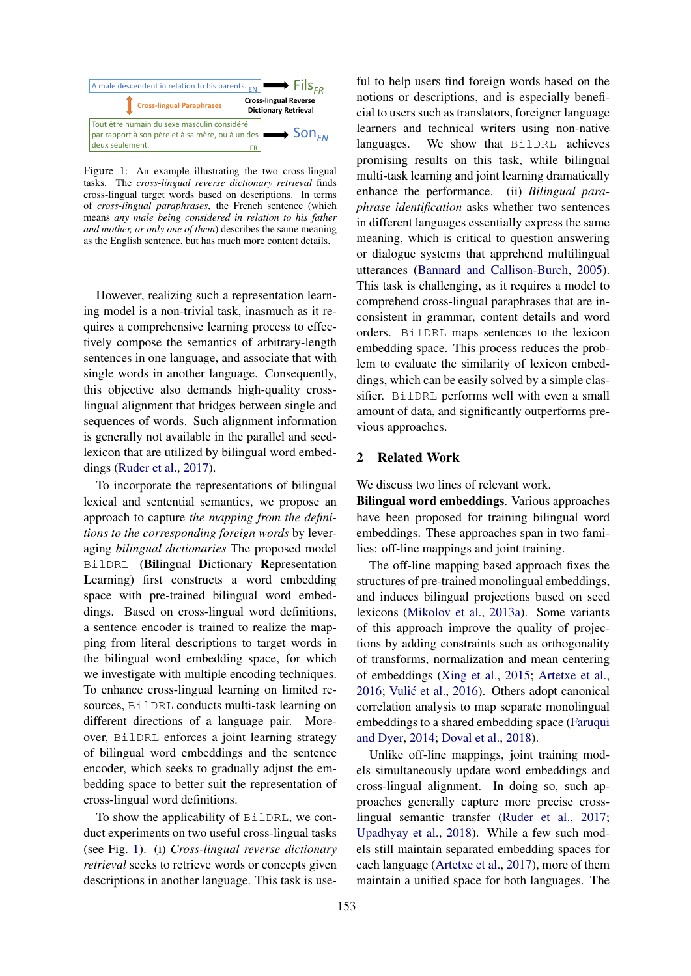<span id="page-1-0"></span>

Figure 1: An example illustrating the two cross-lingual tasks. The *cross-lingual reverse dictionary retrieval* finds cross-lingual target words based on descriptions. In terms of *cross-lingual paraphrases*, the French sentence (which means *any male being considered in relation to his father and mother, or only one of them*) describes the same meaning as the English sentence, but has much more content details.

However, realizing such a representation learning model is a non-trivial task, inasmuch as it requires a comprehensive learning process to effectively compose the semantics of arbitrary-length sentences in one language, and associate that with single words in another language. Consequently, this objective also demands high-quality crosslingual alignment that bridges between single and sequences of words. Such alignment information is generally not available in the parallel and seedlexicon that are utilized by bilingual word embeddings [\(Ruder et al.,](#page-10-0) [2017\)](#page-10-0).

To incorporate the representations of bilingual lexical and sentential semantics, we propose an approach to capture *the mapping from the definitions to the corresponding foreign words* by leveraging *bilingual dictionaries* The proposed model BilDRL (Bilingual Dictionary Representation Learning) first constructs a word embedding space with pre-trained bilingual word embeddings. Based on cross-lingual word definitions, a sentence encoder is trained to realize the mapping from literal descriptions to target words in the bilingual word embedding space, for which we investigate with multiple encoding techniques. To enhance cross-lingual learning on limited resources, BilDRL conducts multi-task learning on different directions of a language pair. Moreover, BilDRL enforces a joint learning strategy of bilingual word embeddings and the sentence encoder, which seeks to gradually adjust the embedding space to better suit the representation of cross-lingual word definitions.

To show the applicability of BilDRL, we conduct experiments on two useful cross-lingual tasks (see Fig. [1\)](#page-1-0). (i) *Cross-lingual reverse dictionary retrieval* seeks to retrieve words or concepts given descriptions in another language. This task is use-

ful to help users find foreign words based on the notions or descriptions, and is especially beneficial to users such as translators, foreigner language learners and technical writers using non-native languages. We show that BilDRL achieves promising results on this task, while bilingual multi-task learning and joint learning dramatically enhance the performance. (ii) *Bilingual paraphrase identification* asks whether two sentences in different languages essentially express the same meaning, which is critical to question answering or dialogue systems that apprehend multilingual utterances [\(Bannard and Callison-Burch,](#page-8-2) [2005\)](#page-8-2). This task is challenging, as it requires a model to comprehend cross-lingual paraphrases that are inconsistent in grammar, content details and word orders. BilDRL maps sentences to the lexicon embedding space. This process reduces the problem to evaluate the similarity of lexicon embeddings, which can be easily solved by a simple classifier. BilDRL performs well with even a small amount of data, and significantly outperforms previous approaches.

### 2 Related Work

We discuss two lines of relevant work.

Bilingual word embeddings. Various approaches have been proposed for training bilingual word embeddings. These approaches span in two families: off-line mappings and joint training.

The off-line mapping based approach fixes the structures of pre-trained monolingual embeddings, and induces bilingual projections based on seed lexicons [\(Mikolov et al.,](#page-9-6) [2013a\)](#page-9-6). Some variants of this approach improve the quality of projections by adding constraints such as orthogonality of transforms, normalization and mean centering of embeddings [\(Xing et al.,](#page-10-4) [2015;](#page-10-4) [Artetxe et al.,](#page-8-3) [2016;](#page-8-3) Vulić et al., [2016\)](#page-10-5). Others adopt canonical correlation analysis to map separate monolingual embeddings to a shared embedding space [\(Faruqui](#page-9-7) [and Dyer,](#page-9-7) [2014;](#page-9-7) [Doval et al.,](#page-9-8) [2018\)](#page-9-8).

Unlike off-line mappings, joint training models simultaneously update word embeddings and cross-lingual alignment. In doing so, such approaches generally capture more precise crosslingual semantic transfer [\(Ruder et al.,](#page-10-0) [2017;](#page-10-0) [Upadhyay et al.,](#page-10-2) [2018\)](#page-10-2). While a few such models still maintain separated embedding spaces for each language [\(Artetxe et al.,](#page-8-4) [2017\)](#page-8-4), more of them maintain a unified space for both languages. The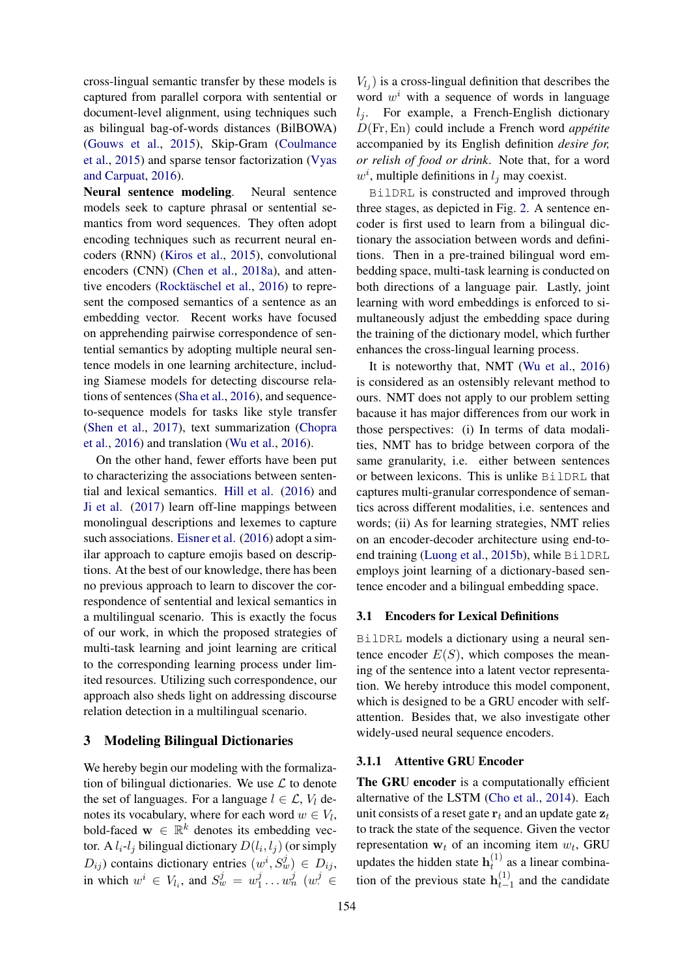cross-lingual semantic transfer by these models is captured from parallel corpora with sentential or document-level alignment, using techniques such as bilingual bag-of-words distances (BilBOWA) [\(Gouws et al.,](#page-9-1) [2015\)](#page-9-1), Skip-Gram [\(Coulmance](#page-8-5) [et al.,](#page-8-5) [2015\)](#page-8-5) and sparse tensor factorization [\(Vyas](#page-10-6) [and Carpuat,](#page-10-6) [2016\)](#page-10-6).

Neural sentence modeling. Neural sentence models seek to capture phrasal or sentential semantics from word sequences. They often adopt encoding techniques such as recurrent neural encoders (RNN) [\(Kiros et al.,](#page-9-9) [2015\)](#page-9-9), convolutional encoders (CNN) [\(Chen et al.,](#page-8-6) [2018a\)](#page-8-6), and atten-tive encoders (Rocktäschel et al., [2016\)](#page-10-7) to represent the composed semantics of a sentence as an embedding vector. Recent works have focused on apprehending pairwise correspondence of sentential semantics by adopting multiple neural sentence models in one learning architecture, including Siamese models for detecting discourse relations of sentences [\(Sha et al.,](#page-10-8) [2016\)](#page-10-8), and sequenceto-sequence models for tasks like style transfer [\(Shen et al.,](#page-10-9) [2017\)](#page-10-9), text summarization [\(Chopra](#page-8-7) [et al.,](#page-8-7) [2016\)](#page-8-7) and translation [\(Wu et al.,](#page-10-10) [2016\)](#page-10-10).

On the other hand, fewer efforts have been put to characterizing the associations between sentential and lexical semantics. [Hill et al.](#page-9-3) [\(2016\)](#page-9-3) and [Ji et al.](#page-9-10) [\(2017\)](#page-9-10) learn off-line mappings between monolingual descriptions and lexemes to capture such associations. [Eisner et al.](#page-9-11) [\(2016\)](#page-9-11) adopt a similar approach to capture emojis based on descriptions. At the best of our knowledge, there has been no previous approach to learn to discover the correspondence of sentential and lexical semantics in a multilingual scenario. This is exactly the focus of our work, in which the proposed strategies of multi-task learning and joint learning are critical to the corresponding learning process under limited resources. Utilizing such correspondence, our approach also sheds light on addressing discourse relation detection in a multilingual scenario.

# <span id="page-2-0"></span>3 Modeling Bilingual Dictionaries

We hereby begin our modeling with the formalization of bilingual dictionaries. We use  $\mathcal L$  to denote the set of languages. For a language  $l \in \mathcal{L}$ ,  $V_l$  denotes its vocabulary, where for each word  $w \in V_l$ , bold-faced  $\mathbf{w} \in \mathbb{R}^k$  denotes its embedding vector. A  $l_i$ - $l_j$  bilingual dictionary  $D(l_i, l_j)$  (or simply  $(D_{ij})$  contains dictionary entries  $(w^i, S_w^j) \in D_{ij}$ , in which  $w^i \in V_{l_i}$ , and  $S_w^j = w_1^j$  $j_1 \ldots w_n^j$  ( $w_i^j \in$ 

 $V_{l_j}$ ) is a cross-lingual definition that describes the word  $w<sup>i</sup>$  with a sequence of words in language  $l_i$ . For example, a French-English dictionary D(Fr,En) could include a French word *appetite ´* accompanied by its English definition *desire for, or relish of food or drink*. Note that, for a word  $w^i$ , multiple definitions in  $l_j$  may coexist.

BilDRL is constructed and improved through three stages, as depicted in Fig. [2.](#page-3-0) A sentence encoder is first used to learn from a bilingual dictionary the association between words and definitions. Then in a pre-trained bilingual word embedding space, multi-task learning is conducted on both directions of a language pair. Lastly, joint learning with word embeddings is enforced to simultaneously adjust the embedding space during the training of the dictionary model, which further enhances the cross-lingual learning process.

It is noteworthy that, NMT [\(Wu et al.,](#page-10-10) [2016\)](#page-10-10) is considered as an ostensibly relevant method to ours. NMT does not apply to our problem setting bacause it has major differences from our work in those perspectives: (i) In terms of data modalities, NMT has to bridge between corpora of the same granularity, i.e. either between sentences or between lexicons. This is unlike BilDRL that captures multi-granular correspondence of semantics across different modalities, i.e. sentences and words; (ii) As for learning strategies, NMT relies on an encoder-decoder architecture using end-toend training [\(Luong et al.,](#page-9-12) [2015b\)](#page-9-12), while BilDRL employs joint learning of a dictionary-based sentence encoder and a bilingual embedding space.

### 3.1 Encoders for Lexical Definitions

BilDRL models a dictionary using a neural sentence encoder  $E(S)$ , which composes the meaning of the sentence into a latent vector representation. We hereby introduce this model component, which is designed to be a GRU encoder with selfattention. Besides that, we also investigate other widely-used neural sequence encoders.

### 3.1.1 Attentive GRU Encoder

The GRU encoder is a computationally efficient alternative of the LSTM [\(Cho et al.,](#page-8-8) [2014\)](#page-8-8). Each unit consists of a reset gate  $r_t$  and an update gate  $z_t$ to track the state of the sequence. Given the vector representation  $w_t$  of an incoming item  $w_t$ , GRU updates the hidden state  $h_t^{(1)}$  $t^{(1)}$  as a linear combination of the previous state  $h_{t-}^{(1)}$  $t_{t-1}^{(1)}$  and the candidate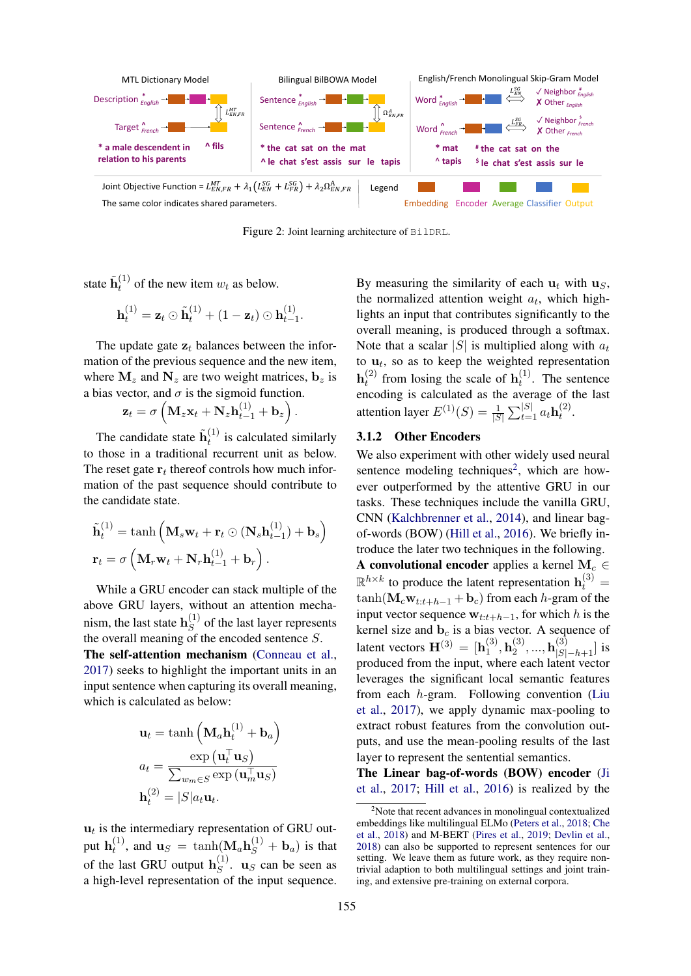<span id="page-3-0"></span>

Figure 2: Joint learning architecture of BilDRL.

state  $\tilde{\mathbf{h}}_t^{(1)}$  $t^{(1)}$  of the new item  $w_t$  as below.

$$
\mathbf{h}_t^{(1)} = \mathbf{z}_t \odot \tilde{\mathbf{h}}_t^{(1)} + (1 - \mathbf{z}_t) \odot \mathbf{h}_{t-1}^{(1)}.
$$

The update gate  $z_t$  balances between the information of the previous sequence and the new item, where  $M_z$  and  $N_z$  are two weight matrices,  $b_z$  is a bias vector, and  $\sigma$  is the sigmoid function.

$$
\mathbf{z}_t = \sigma \left( \mathbf{M}_z \mathbf{x}_t + \mathbf{N}_z \mathbf{h}_{t-1}^{(1)} + \mathbf{b}_z \right).
$$

The candidate state  $\tilde{\mathbf{h}}_t^{(1)}$  $t^{(1)}$  is calculated similarly to those in a traditional recurrent unit as below. The reset gate  $r_t$  thereof controls how much information of the past sequence should contribute to the candidate state.

$$
\tilde{\mathbf{h}}_t^{(1)} = \tanh\left(\mathbf{M}_s \mathbf{w}_t + \mathbf{r}_t \odot (\mathbf{N}_s \mathbf{h}_{t-1}^{(1)}) + \mathbf{b}_s\right)
$$

$$
\mathbf{r}_t = \sigma\left(\mathbf{M}_r \mathbf{w}_t + \mathbf{N}_r \mathbf{h}_{t-1}^{(1)} + \mathbf{b}_r\right).
$$

While a GRU encoder can stack multiple of the above GRU layers, without an attention mechanism, the last state  $h_S^{(1)}$  $S<sup>(1)</sup>$  of the last layer represents the overall meaning of the encoded sentence S.

The self-attention mechanism [\(Conneau et al.,](#page-8-9) [2017\)](#page-8-9) seeks to highlight the important units in an input sentence when capturing its overall meaning, which is calculated as below:

$$
\mathbf{u}_t = \tanh\left(\mathbf{M}_a \mathbf{h}_t^{(1)} + \mathbf{b}_a\right)
$$

$$
a_t = \frac{\exp\left(\mathbf{u}_t^\top \mathbf{u}_S\right)}{\sum_{w_m \in S} \exp\left(\mathbf{u}_m^\top \mathbf{u}_S\right)}
$$

$$
\mathbf{h}_t^{(2)} = |S| a_t \mathbf{u}_t.
$$

 $\mathbf{u}_t$  is the intermediary representation of GRU output  $\mathbf{h}_t^{(1)}$  $t_i^{(1)}$ , and  $\mathbf{u}_S = \tanh(\mathbf{M}_a \mathbf{h}_S^{(1)} + \mathbf{b}_a)$  is that of the last GRU output  $\mathbf{h}_{S}^{(1)}$  $S^{(1)}$ . **u**<sub>S</sub> can be seen as a high-level representation of the input sequence.

By measuring the similarity of each  $u_t$  with  $u_s$ , the normalized attention weight  $a_t$ , which highlights an input that contributes significantly to the overall meaning, is produced through a softmax. Note that a scalar |S| is multiplied along with  $a_t$ to  $\mathbf{u}_t$ , so as to keep the weighted representation  $\mathbf{h}_t^{(2)}$  $t_t^{(2)}$  from losing the scale of  $h_t^{(1)}$  $t^{(1)}$ . The sentence encoding is calculated as the average of the last attention layer  $E^{(1)}(S) = \frac{1}{|S|} \sum_{t=1}^{|S|} a_t \mathbf{h}_t^{(2)}$  $\mathcal{L}^{(2)}$ .

# 3.1.2 Other Encoders

We also experiment with other widely used neural sentence modeling techniques<sup>[2](#page-3-1)</sup>, which are however outperformed by the attentive GRU in our tasks. These techniques include the vanilla GRU, CNN [\(Kalchbrenner et al.,](#page-9-13) [2014\)](#page-9-13), and linear bagof-words (BOW) [\(Hill et al.,](#page-9-3) [2016\)](#page-9-3). We briefly introduce the later two techniques in the following. A convolutional encoder applies a kernel  $M_c \in$  $\mathbb{R}^{h \times k}$  to produce the latent representation  $\mathbf{h}_t^{(3)}$  =  $\tanh(\mathbf{M}_c\mathbf{w}_{t:t+h-1} + \mathbf{b}_c)$  from each h-gram of the input vector sequence  $w_{t:t+h-1}$ , for which h is the kernel size and  $\mathbf{b}_c$  is a bias vector. A sequence of latent vectors  $\mathbf{H}^{(3)} = [\mathbf{h}_1^{(3)}]$  $\mathbf{h}_1^{(3)}, \mathbf{h}_2^{(3)}$  ${\bf h}_{|S|-h+1}^{(3)}]$  is produced from the input, where each latent vector leverages the significant local semantic features from each h-gram. Following convention [\(Liu](#page-9-14) [et al.,](#page-9-14) [2017\)](#page-9-14), we apply dynamic max-pooling to extract robust features from the convolution outputs, and use the mean-pooling results of the last layer to represent the sentential semantics.

The Linear bag-of-words (BOW) encoder [\(Ji](#page-9-10) [et al.,](#page-9-10) [2017;](#page-9-10) [Hill et al.,](#page-9-3) [2016\)](#page-9-3) is realized by the

<span id="page-3-1"></span> $2$ Note that recent advances in monolingual contextualized embeddings like multilingual ELMo [\(Peters et al.,](#page-10-11) [2018;](#page-10-11) [Che](#page-8-10) [et al.,](#page-8-10) [2018\)](#page-8-10) and M-BERT [\(Pires et al.,](#page-10-12) [2019;](#page-10-12) [Devlin et al.,](#page-9-15) [2018\)](#page-9-15) can also be supported to represent sentences for our setting. We leave them as future work, as they require nontrivial adaption to both multilingual settings and joint training, and extensive pre-training on external corpora.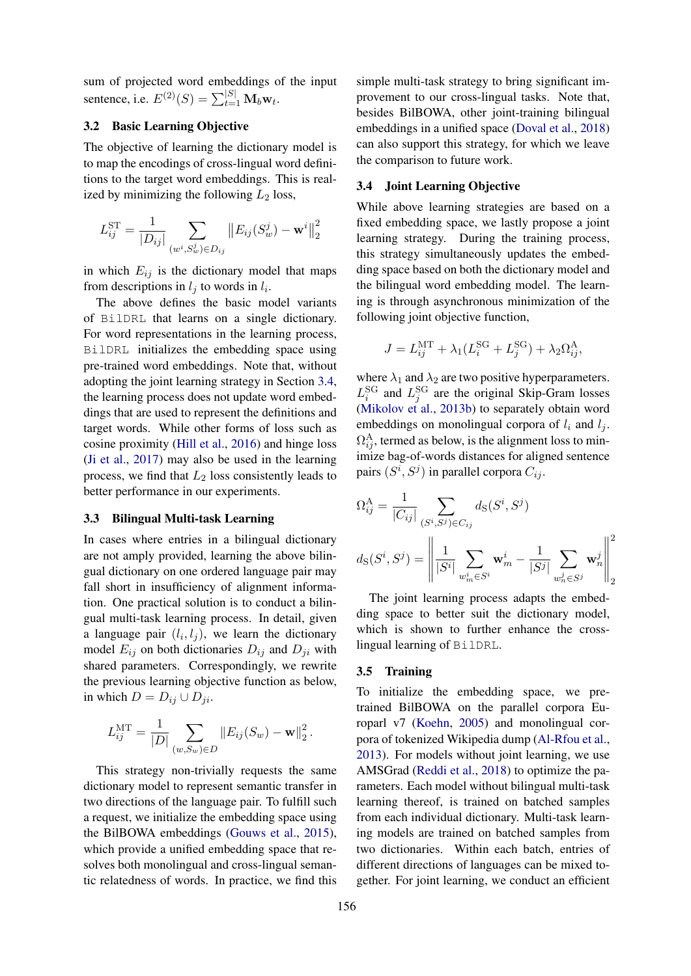sum of projected word embeddings of the input sentence, i.e.  $E^{(2)}(S) = \sum_{t=1}^{|S|} \mathbf{M}_b \mathbf{w}_t$ .

# 3.2 Basic Learning Objective

The objective of learning the dictionary model is to map the encodings of cross-lingual word definitions to the target word embeddings. This is realized by minimizing the following  $L_2$  loss,

$$
L_{ij}^{\text{ST}} = \frac{1}{|D_{ij}|} \sum_{(w^i, S_w^j) \in D_{ij}} ||E_{ij}(S_w^j) - \mathbf{w}^i||_2^2
$$

in which  $E_{ij}$  is the dictionary model that maps from descriptions in  $l_j$  to words in  $l_i$ .

The above defines the basic model variants of BilDRL that learns on a single dictionary. For word representations in the learning process, BilDRL initializes the embedding space using pre-trained word embeddings. Note that, without adopting the joint learning strategy in Section [3.4,](#page-4-0) the learning process does not update word embeddings that are used to represent the definitions and target words. While other forms of loss such as cosine proximity [\(Hill et al.,](#page-9-3) [2016\)](#page-9-3) and hinge loss [\(Ji et al.,](#page-9-10) [2017\)](#page-9-10) may also be used in the learning process, we find that  $L_2$  loss consistently leads to better performance in our experiments.

#### 3.3 Bilingual Multi-task Learning

In cases where entries in a bilingual dictionary are not amply provided, learning the above bilingual dictionary on one ordered language pair may fall short in insufficiency of alignment information. One practical solution is to conduct a bilingual multi-task learning process. In detail, given a language pair  $(l_i, l_j)$ , we learn the dictionary model  $E_{ij}$  on both dictionaries  $D_{ij}$  and  $D_{ji}$  with shared parameters. Correspondingly, we rewrite the previous learning objective function as below, in which  $D = D_{ij} \cup D_{ji}$ .

$$
L_{ij}^{\text{MT}} = \frac{1}{|D|} \sum_{(w, S_w) \in D} ||E_{ij}(S_w) - \mathbf{w}||_2^2.
$$

This strategy non-trivially requests the same dictionary model to represent semantic transfer in two directions of the language pair. To fulfill such a request, we initialize the embedding space using the BilBOWA embeddings [\(Gouws et al.,](#page-9-1) [2015\)](#page-9-1), which provide a unified embedding space that resolves both monolingual and cross-lingual semantic relatedness of words. In practice, we find this

simple multi-task strategy to bring significant improvement to our cross-lingual tasks. Note that, besides BilBOWA, other joint-training bilingual embeddings in a unified space [\(Doval et al.,](#page-9-8) [2018\)](#page-9-8) can also support this strategy, for which we leave the comparison to future work.

# <span id="page-4-0"></span>3.4 Joint Learning Objective

While above learning strategies are based on a fixed embedding space, we lastly propose a joint learning strategy. During the training process, this strategy simultaneously updates the embedding space based on both the dictionary model and the bilingual word embedding model. The learning is through asynchronous minimization of the following joint objective function,

$$
J = L_{ij}^{\text{MT}} + \lambda_1 (L_i^{\text{SG}} + L_j^{\text{SG}}) + \lambda_2 \Omega_{ij}^{\text{A}},
$$

where  $\lambda_1$  and  $\lambda_2$  are two positive hyperparameters.  $L_i^{\text{SG}}$  and  $L_j^{\text{SG}}$  are the original Skip-Gram losses [\(Mikolov et al.,](#page-9-16) [2013b\)](#page-9-16) to separately obtain word embeddings on monolingual corpora of  $l_i$  and  $l_j$ .  $\Omega_{ij}^{\text{A}}$ , termed as below, is the alignment loss to minimize bag-of-words distances for aligned sentence pairs  $(S^i, S^j)$  in parallel corpora  $C_{ij}$ .

$$
\Omega_{ij}^{\mathcal{A}} = \frac{1}{|C_{ij}|} \sum_{(S^i, S^j) \in C_{ij}} d_{S}(S^i, S^j)
$$

$$
d_{S}(S^i, S^j) = \left\| \frac{1}{|S^i|} \sum_{w_m^i \in S^i} \mathbf{w}_m^i - \frac{1}{|S^j|} \sum_{w_n^j \in S^j} \mathbf{w}_n^j \right\|_2^2
$$

The joint learning process adapts the embedding space to better suit the dictionary model, which is shown to further enhance the crosslingual learning of BilDRL.

# 3.5 Training

To initialize the embedding space, we pretrained BilBOWA on the parallel corpora Europarl v7 [\(Koehn,](#page-9-17) [2005\)](#page-9-17) and monolingual corpora of tokenized Wikipedia dump [\(Al-Rfou et al.,](#page-8-11) [2013\)](#page-8-11). For models without joint learning, we use AMSGrad [\(Reddi et al.,](#page-10-13) [2018\)](#page-10-13) to optimize the parameters. Each model without bilingual multi-task learning thereof, is trained on batched samples from each individual dictionary. Multi-task learning models are trained on batched samples from two dictionaries. Within each batch, entries of different directions of languages can be mixed together. For joint learning, we conduct an efficient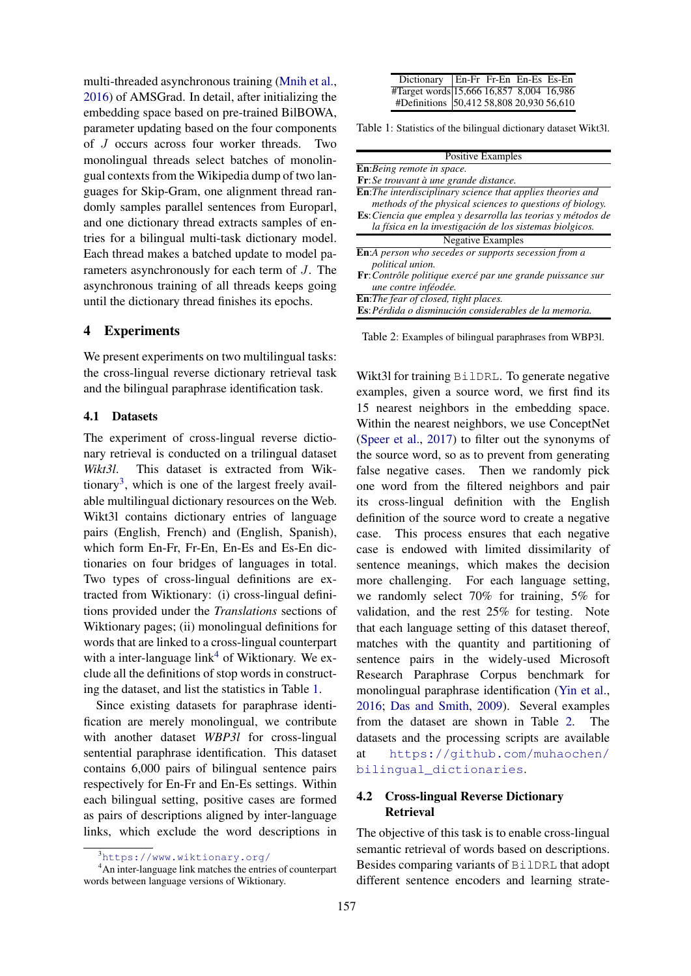multi-threaded asynchronous training [\(Mnih et al.,](#page-9-18) [2016\)](#page-9-18) of AMSGrad. In detail, after initializing the embedding space based on pre-trained BilBOWA, parameter updating based on the four components of J occurs across four worker threads. Two monolingual threads select batches of monolingual contexts from the Wikipedia dump of two languages for Skip-Gram, one alignment thread randomly samples parallel sentences from Europarl, and one dictionary thread extracts samples of entries for a bilingual multi-task dictionary model. Each thread makes a batched update to model parameters asynchronously for each term of J. The asynchronous training of all threads keeps going until the dictionary thread finishes its epochs.

# 4 Experiments

We present experiments on two multilingual tasks: the cross-lingual reverse dictionary retrieval task and the bilingual paraphrase identification task.

### 4.1 Datasets

The experiment of cross-lingual reverse dictionary retrieval is conducted on a trilingual dataset *Wikt3l*. This dataset is extracted from Wik-tionary<sup>[3](#page-5-0)</sup>, which is one of the largest freely available multilingual dictionary resources on the Web. Wikt3l contains dictionary entries of language pairs (English, French) and (English, Spanish), which form En-Fr, Fr-En, En-Es and Es-En dictionaries on four bridges of languages in total. Two types of cross-lingual definitions are extracted from Wiktionary: (i) cross-lingual definitions provided under the *Translations* sections of Wiktionary pages; (ii) monolingual definitions for words that are linked to a cross-lingual counterpart with a inter-language link<sup>[4](#page-5-1)</sup> of Wiktionary. We exclude all the definitions of stop words in constructing the dataset, and list the statistics in Table [1.](#page-5-2)

Since existing datasets for paraphrase identification are merely monolingual, we contribute with another dataset *WBP3l* for cross-lingual sentential paraphrase identification. This dataset contains 6,000 pairs of bilingual sentence pairs respectively for En-Fr and En-Es settings. Within each bilingual setting, positive cases are formed as pairs of descriptions aligned by inter-language links, which exclude the word descriptions in

<span id="page-5-2"></span>

| Dictionary   En-Fr Fr-En En-Es Es-En                                                 |  |  |
|--------------------------------------------------------------------------------------|--|--|
| #Target words 15,666 16,857 8,004 16,986<br>#Definitions 50,412 58,808 20,930 56,610 |  |  |
|                                                                                      |  |  |

Table 1: Statistics of the bilingual dictionary dataset Wikt3l.

<span id="page-5-3"></span>

| <b>Positive Examples</b>                                               |
|------------------------------------------------------------------------|
| <b>En:</b> Being remote in space.                                      |
| <b>Fr</b> : Se trouvant à une grande distance.                         |
| <b>En:</b> The interdisciplinary science that applies theories and     |
| methods of the physical sciences to questions of biology.              |
| <b>Es</b> : Ciencia que emplea y desarrolla las teorias y métodos de   |
| la física en la investigación de los sistemas biolgicos.               |
| <b>Negative Examples</b>                                               |
| <b>En:</b> A person who secedes or supports secession from a           |
| <i>political union.</i>                                                |
| $\mathbf{F}$ r: Contrôle politique exercé par une grande puissance sur |
| une contre inféodée.                                                   |
| <b>En:</b> The fear of closed, tight places.                           |
| <b>Es</b> : Pérdida o disminución considerables de la memoria.         |

Table 2: Examples of bilingual paraphrases from WBP3l.

Wikt3l for training BilDRL. To generate negative examples, given a source word, we first find its 15 nearest neighbors in the embedding space. Within the nearest neighbors, we use ConceptNet [\(Speer et al.,](#page-10-14) [2017\)](#page-10-14) to filter out the synonyms of the source word, so as to prevent from generating false negative cases. Then we randomly pick one word from the filtered neighbors and pair its cross-lingual definition with the English definition of the source word to create a negative case. This process ensures that each negative case is endowed with limited dissimilarity of sentence meanings, which makes the decision more challenging. For each language setting, we randomly select 70% for training, 5% for validation, and the rest 25% for testing. Note that each language setting of this dataset thereof, matches with the quantity and partitioning of sentence pairs in the widely-used Microsoft Research Paraphrase Corpus benchmark for monolingual paraphrase identification [\(Yin et al.,](#page-10-15) [2016;](#page-10-15) [Das and Smith,](#page-9-19) [2009\)](#page-9-19). Several examples from the dataset are shown in Table [2.](#page-5-3) The datasets and the processing scripts are available at [https://github.com/muhaochen/](https://github.com/muhaochen/bilingual_dictionaries) [bilingual\\_dictionaries](https://github.com/muhaochen/bilingual_dictionaries).

# 4.2 Cross-lingual Reverse Dictionary Retrieval

The objective of this task is to enable cross-lingual semantic retrieval of words based on descriptions. Besides comparing variants of BilDRL that adopt different sentence encoders and learning strate-

<span id="page-5-1"></span><span id="page-5-0"></span> $3$ <https://www.wiktionary.org/>

<sup>4</sup>An inter-language link matches the entries of counterpart words between language versions of Wiktionary.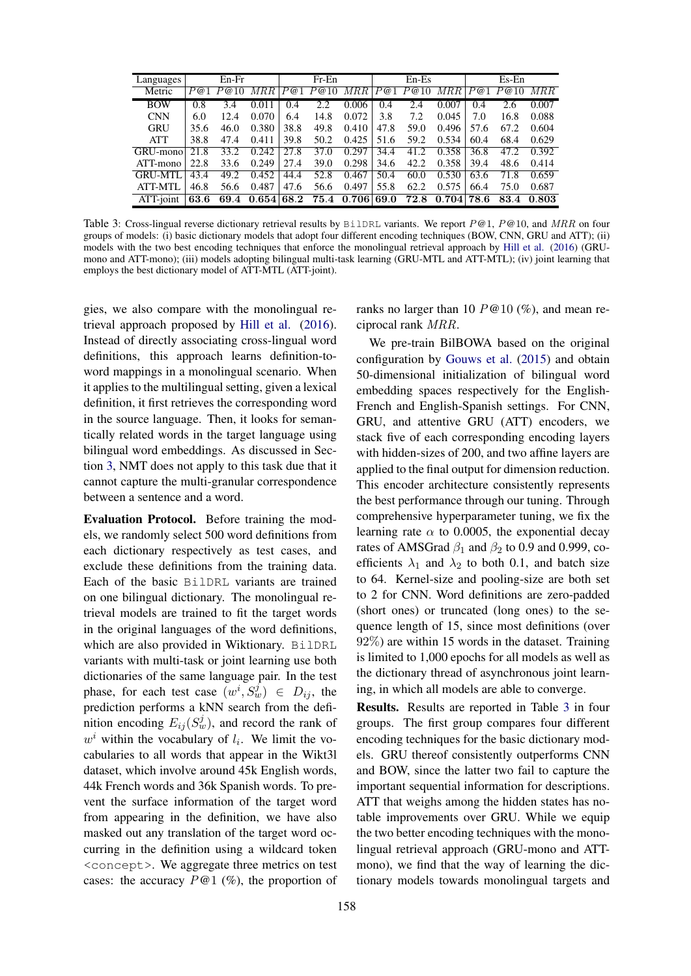<span id="page-6-0"></span>

| Languages      |      | $En-Fr$ |            |      | $Fr$ -En   |       |      | $En-Es$ |       |      | $Es-En$     |       |
|----------------|------|---------|------------|------|------------|-------|------|---------|-------|------|-------------|-------|
| Metric         | P@1  | P@10    | $MRR$      | P@1  | P@10       | MRR   | P@1  | P@10    | $MRR$ |      | $P@1\;P@10$ | MRR   |
| <b>BOW</b>     | 0.8  | 3.4     | 0.011      | 0.4  | 2.2        | 0.006 | 0.4  | 2.4     | 0.007 | 0.4  | 2.6         | 0.007 |
| <b>CNN</b>     | 6.0  | 12.4    | 0.070      | 6.4  | 14.8       | 0.072 | 3.8  | 7.2     | 0.045 | 7.0  | 16.8        | 0.088 |
| <b>GRU</b>     | 35.6 | 46.0    | 0.380      | 38.8 | 49.8       | 0.410 | 47.8 | 59.0    | 0.496 | 57.6 | 67.2        | 0.604 |
| <b>ATT</b>     | 38.8 | 47.4    | 0.411      | 39.8 | 50.2       | 0.425 | 51.6 | 59.2    | 0.534 | 60.4 | 68.4        | 0.629 |
| GRU-mono       | 21.8 | 33.2    | 0.242      | 27.8 | 37.0       | 0.297 | 34.4 | 41.2    | 0.358 | 36.8 | 47.2        | 0.392 |
| ATT-mono       | 22.8 | 33.6    | 0.249      | 27.4 | 39.0       | 0.298 | 34.6 | 42.2    | 0.358 | 39.4 | 48.6        | 0.414 |
| <b>GRU-MTL</b> | 43.4 | 49.2    | 0.452      | 44.4 | 52.8       | 0.467 | 50.4 | 60.0    | 0.530 | 63.6 | 71.8        | 0.659 |
| ATT-MTL        | 46.8 | 56.6    | 0.487      | 47.6 | 56.6       | 0.497 | 55.8 | 62.2    | 0.575 | 66.4 | 75.0        | 0.687 |
| ATT-joint      | 63.6 | 69.4    | 0.654 68.2 |      | $\bf 75.4$ | 0.706 | 69.0 | 72.8    | 0.704 | 78.6 | 83.4        | 0.803 |

Table 3: Cross-lingual reverse dictionary retrieval results by BilDRL variants. We report  $P@1$ ,  $P@10$ , and  $MRR$  on four groups of models: (i) basic dictionary models that adopt four different encoding techniques (BOW, CNN, GRU and ATT); (ii) models with the two best encoding techniques that enforce the monolingual retrieval approach by [Hill et al.](#page-9-3) [\(2016\)](#page-9-3) (GRUmono and ATT-mono); (iii) models adopting bilingual multi-task learning (GRU-MTL and ATT-MTL); (iv) joint learning that employs the best dictionary model of ATT-MTL (ATT-joint).

gies, we also compare with the monolingual retrieval approach proposed by [Hill et al.](#page-9-3) [\(2016\)](#page-9-3). Instead of directly associating cross-lingual word definitions, this approach learns definition-toword mappings in a monolingual scenario. When it applies to the multilingual setting, given a lexical definition, it first retrieves the corresponding word in the source language. Then, it looks for semantically related words in the target language using bilingual word embeddings. As discussed in Section [3,](#page-2-0) NMT does not apply to this task due that it cannot capture the multi-granular correspondence between a sentence and a word.

Evaluation Protocol. Before training the models, we randomly select 500 word definitions from each dictionary respectively as test cases, and exclude these definitions from the training data. Each of the basic BilDRL variants are trained on one bilingual dictionary. The monolingual retrieval models are trained to fit the target words in the original languages of the word definitions, which are also provided in Wiktionary. BilDRL variants with multi-task or joint learning use both dictionaries of the same language pair. In the test phase, for each test case  $(w^i, S_w^j) \in D_{ij}$ , the prediction performs a kNN search from the definition encoding  $E_{ij}(S_w^j)$ , and record the rank of  $w<sup>i</sup>$  within the vocabulary of  $l_i$ . We limit the vocabularies to all words that appear in the Wikt3l dataset, which involve around 45k English words, 44k French words and 36k Spanish words. To prevent the surface information of the target word from appearing in the definition, we have also masked out any translation of the target word occurring in the definition using a wildcard token <concept>. We aggregate three metrics on test cases: the accuracy  $P@1$  (%), the proportion of

ranks no larger than 10  $P@10$  (%), and mean reciprocal rank MRR.

We pre-train BilBOWA based on the original configuration by [Gouws et al.](#page-9-1) [\(2015\)](#page-9-1) and obtain 50-dimensional initialization of bilingual word embedding spaces respectively for the English-French and English-Spanish settings. For CNN, GRU, and attentive GRU (ATT) encoders, we stack five of each corresponding encoding layers with hidden-sizes of 200, and two affine layers are applied to the final output for dimension reduction. This encoder architecture consistently represents the best performance through our tuning. Through comprehensive hyperparameter tuning, we fix the learning rate  $\alpha$  to 0.0005, the exponential decay rates of AMSGrad  $\beta_1$  and  $\beta_2$  to 0.9 and 0.999, coefficients  $\lambda_1$  and  $\lambda_2$  to both 0.1, and batch size to 64. Kernel-size and pooling-size are both set to 2 for CNN. Word definitions are zero-padded (short ones) or truncated (long ones) to the sequence length of 15, since most definitions (over 92%) are within 15 words in the dataset. Training is limited to 1,000 epochs for all models as well as the dictionary thread of asynchronous joint learning, in which all models are able to converge.

Results. Results are reported in Table [3](#page-6-0) in four groups. The first group compares four different encoding techniques for the basic dictionary models. GRU thereof consistently outperforms CNN and BOW, since the latter two fail to capture the important sequential information for descriptions. ATT that weighs among the hidden states has notable improvements over GRU. While we equip the two better encoding techniques with the monolingual retrieval approach (GRU-mono and ATTmono), we find that the way of learning the dictionary models towards monolingual targets and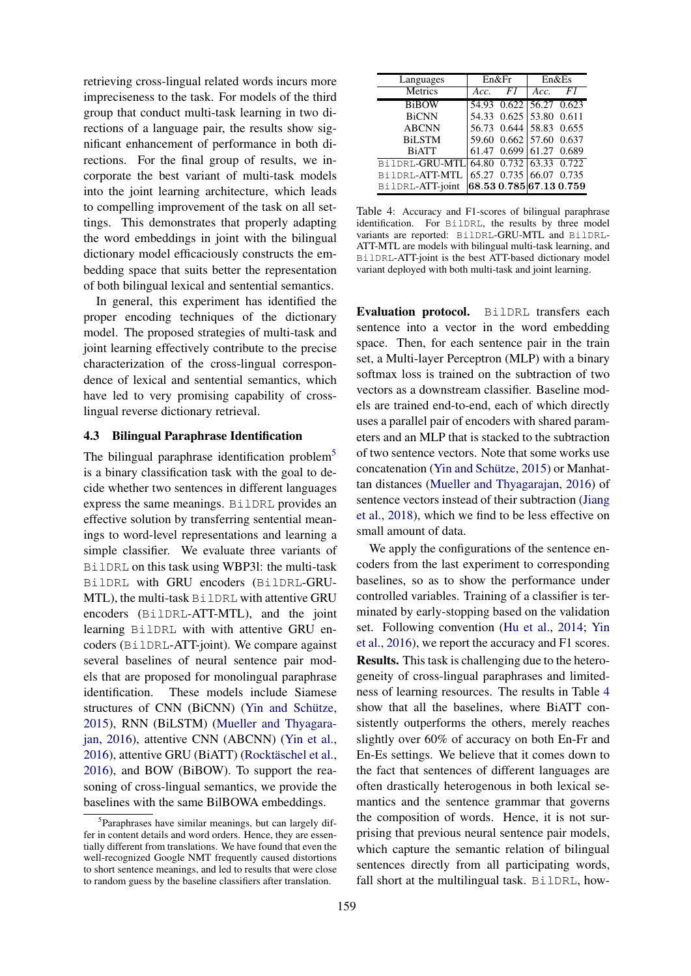retrieving cross-lingual related words incurs more impreciseness to the task. For models of the third group that conduct multi-task learning in two directions of a language pair, the results show significant enhancement of performance in both directions. For the final group of results, we incorporate the best variant of multi-task models into the joint learning architecture, which leads to compelling improvement of the task on all settings. This demonstrates that properly adapting the word embeddings in joint with the bilingual dictionary model efficaciously constructs the embedding space that suits better the representation of both bilingual lexical and sentential semantics.

In general, this experiment has identified the proper encoding techniques of the dictionary model. The proposed strategies of multi-task and joint learning effectively contribute to the precise characterization of the cross-lingual correspondence of lexical and sentential semantics, which have led to very promising capability of crosslingual reverse dictionary retrieval.

### 4.3 Bilingual Paraphrase Identification

The bilingual paraphrase identification problem<sup>[5](#page-7-0)</sup> is a binary classification task with the goal to decide whether two sentences in different languages express the same meanings. BilDRL provides an effective solution by transferring sentential meanings to word-level representations and learning a simple classifier. We evaluate three variants of BilDRL on this task using WBP3l: the multi-task BilDRL with GRU encoders (BilDRL-GRU-MTL), the multi-task BilDRL with attentive GRU encoders (BilDRL-ATT-MTL), and the joint learning BilDRL with with attentive GRU encoders (BilDRL-ATT-joint). We compare against several baselines of neural sentence pair models that are proposed for monolingual paraphrase identification. These models include Siamese structures of CNN (BiCNN) (Yin and Schütze, [2015\)](#page-10-16), RNN (BiLSTM) [\(Mueller and Thyagara](#page-10-17)[jan,](#page-10-17) [2016\)](#page-10-17), attentive CNN (ABCNN) [\(Yin et al.,](#page-10-15) [2016\)](#page-10-15), attentive GRU (BiATT) (Rocktäschel et al., [2016\)](#page-10-7), and BOW (BiBOW). To support the reasoning of cross-lingual semantics, we provide the baselines with the same BilBOWA embeddings.

<span id="page-7-1"></span>

| Languages                              |      | En&Fr                   | En&Es |    |  |
|----------------------------------------|------|-------------------------|-------|----|--|
| Metrics                                | Acc. | F1                      | Acc.  | F1 |  |
| <b>BiBOW</b>                           |      | 54.93 0.622 56.27 0.623 |       |    |  |
| <b>BiCNN</b>                           |      | 54.33 0.625 53.80 0.611 |       |    |  |
| <b>ABCNN</b>                           |      | 56.73 0.644 58.83 0.655 |       |    |  |
| <b>BiLSTM</b>                          |      | 59.60 0.662 57.60 0.637 |       |    |  |
| <b>BiATT</b>                           |      | 61.47 0.699 61.27 0.689 |       |    |  |
| BilDRL-GRU-MTL 64.80 0.732 63.33 0.722 |      |                         |       |    |  |
| BilDRL-ATT-MTL                         |      | 65.27 0.735 66.07 0.735 |       |    |  |
| BilDRL-ATT-joint                       |      | 68.530.785 67.130.759   |       |    |  |

Table 4: Accuracy and F1-scores of bilingual paraphrase identification. For BilDRL, the results by three model variants are reported: BilDRL-GRU-MTL and BilDRL-ATT-MTL are models with bilingual multi-task learning, and BilDRL-ATT-joint is the best ATT-based dictionary model variant deployed with both multi-task and joint learning.

Evaluation protocol. BilDRL transfers each sentence into a vector in the word embedding space. Then, for each sentence pair in the train set, a Multi-layer Perceptron (MLP) with a binary softmax loss is trained on the subtraction of two vectors as a downstream classifier. Baseline models are trained end-to-end, each of which directly uses a parallel pair of encoders with shared parameters and an MLP that is stacked to the subtraction of two sentence vectors. Note that some works use concatenation (Yin and Schütze, [2015\)](#page-10-16) or Manhattan distances [\(Mueller and Thyagarajan,](#page-10-17) [2016\)](#page-10-17) of sentence vectors instead of their subtraction [\(Jiang](#page-9-4) [et al.,](#page-9-4) [2018\)](#page-9-4), which we find to be less effective on small amount of data.

We apply the configurations of the sentence encoders from the last experiment to corresponding baselines, so as to show the performance under controlled variables. Training of a classifier is terminated by early-stopping based on the validation set. Following convention [\(Hu et al.,](#page-9-20) [2014;](#page-9-20) [Yin](#page-10-15) [et al.,](#page-10-15) [2016\)](#page-10-15), we report the accuracy and F1 scores. Results. This task is challenging due to the heterogeneity of cross-lingual paraphrases and limitedness of learning resources. The results in Table [4](#page-7-1) show that all the baselines, where BiATT consistently outperforms the others, merely reaches slightly over 60% of accuracy on both En-Fr and En-Es settings. We believe that it comes down to the fact that sentences of different languages are often drastically heterogenous in both lexical semantics and the sentence grammar that governs the composition of words. Hence, it is not surprising that previous neural sentence pair models, which capture the semantic relation of bilingual sentences directly from all participating words, fall short at the multilingual task. BilDRL, how-

<span id="page-7-0"></span><sup>&</sup>lt;sup>5</sup>Paraphrases have similar meanings, but can largely differ in content details and word orders. Hence, they are essentially different from translations. We have found that even the well-recognized Google NMT frequently caused distortions to short sentence meanings, and led to results that were close to random guess by the baseline classifiers after translation.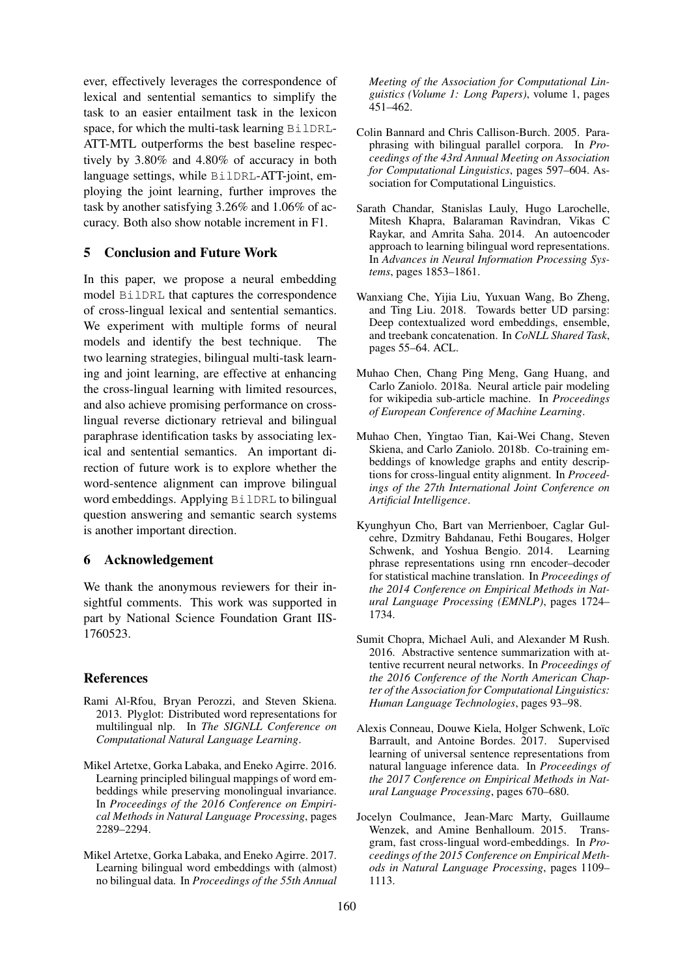ever, effectively leverages the correspondence of lexical and sentential semantics to simplify the task to an easier entailment task in the lexicon space, for which the multi-task learning BilDRL-ATT-MTL outperforms the best baseline respectively by 3.80% and 4.80% of accuracy in both language settings, while BilDRL-ATT-joint, employing the joint learning, further improves the task by another satisfying 3.26% and 1.06% of accuracy. Both also show notable increment in F1.

# 5 Conclusion and Future Work

In this paper, we propose a neural embedding model BilDRL that captures the correspondence of cross-lingual lexical and sentential semantics. We experiment with multiple forms of neural models and identify the best technique. The two learning strategies, bilingual multi-task learning and joint learning, are effective at enhancing the cross-lingual learning with limited resources, and also achieve promising performance on crosslingual reverse dictionary retrieval and bilingual paraphrase identification tasks by associating lexical and sentential semantics. An important direction of future work is to explore whether the word-sentence alignment can improve bilingual word embeddings. Applying BilDRL to bilingual question answering and semantic search systems is another important direction.

#### 6 Acknowledgement

We thank the anonymous reviewers for their insightful comments. This work was supported in part by National Science Foundation Grant IIS-1760523.

#### References

- <span id="page-8-11"></span>Rami Al-Rfou, Bryan Perozzi, and Steven Skiena. 2013. Plyglot: Distributed word representations for multilingual nlp. In *The SIGNLL Conference on Computational Natural Language Learning*.
- <span id="page-8-3"></span>Mikel Artetxe, Gorka Labaka, and Eneko Agirre. 2016. Learning principled bilingual mappings of word embeddings while preserving monolingual invariance. In *Proceedings of the 2016 Conference on Empirical Methods in Natural Language Processing*, pages 2289–2294.
- <span id="page-8-4"></span>Mikel Artetxe, Gorka Labaka, and Eneko Agirre. 2017. Learning bilingual word embeddings with (almost) no bilingual data. In *Proceedings of the 55th Annual*

*Meeting of the Association for Computational Linguistics (Volume 1: Long Papers)*, volume 1, pages 451–462.

- <span id="page-8-2"></span>Colin Bannard and Chris Callison-Burch. 2005. Paraphrasing with bilingual parallel corpora. In *Proceedings of the 43rd Annual Meeting on Association for Computational Linguistics*, pages 597–604. Association for Computational Linguistics.
- <span id="page-8-1"></span>Sarath Chandar, Stanislas Lauly, Hugo Larochelle, Mitesh Khapra, Balaraman Ravindran, Vikas C Raykar, and Amrita Saha. 2014. An autoencoder approach to learning bilingual word representations. In *Advances in Neural Information Processing Systems*, pages 1853–1861.
- <span id="page-8-10"></span>Wanxiang Che, Yijia Liu, Yuxuan Wang, Bo Zheng, and Ting Liu. 2018. Towards better UD parsing: Deep contextualized word embeddings, ensemble, and treebank concatenation. In *CoNLL Shared Task*, pages 55–64. ACL.
- <span id="page-8-6"></span>Muhao Chen, Chang Ping Meng, Gang Huang, and Carlo Zaniolo. 2018a. Neural article pair modeling for wikipedia sub-article machine. In *Proceedings of European Conference of Machine Learning*.
- <span id="page-8-0"></span>Muhao Chen, Yingtao Tian, Kai-Wei Chang, Steven Skiena, and Carlo Zaniolo. 2018b. Co-training embeddings of knowledge graphs and entity descriptions for cross-lingual entity alignment. In *Proceedings of the 27th International Joint Conference on Artificial Intelligence*.
- <span id="page-8-8"></span>Kyunghyun Cho, Bart van Merrienboer, Caglar Gulcehre, Dzmitry Bahdanau, Fethi Bougares, Holger Schwenk, and Yoshua Bengio. 2014. Learning phrase representations using rnn encoder–decoder for statistical machine translation. In *Proceedings of the 2014 Conference on Empirical Methods in Natural Language Processing (EMNLP)*, pages 1724– 1734.
- <span id="page-8-7"></span>Sumit Chopra, Michael Auli, and Alexander M Rush. 2016. Abstractive sentence summarization with attentive recurrent neural networks. In *Proceedings of the 2016 Conference of the North American Chapter of the Association for Computational Linguistics: Human Language Technologies*, pages 93–98.
- <span id="page-8-9"></span>Alexis Conneau, Douwe Kiela, Holger Schwenk, Loïc Barrault, and Antoine Bordes. 2017. Supervised learning of universal sentence representations from natural language inference data. In *Proceedings of the 2017 Conference on Empirical Methods in Natural Language Processing*, pages 670–680.
- <span id="page-8-5"></span>Jocelyn Coulmance, Jean-Marc Marty, Guillaume Wenzek, and Amine Benhalloum. 2015. Transgram, fast cross-lingual word-embeddings. In *Proceedings of the 2015 Conference on Empirical Methods in Natural Language Processing*, pages 1109– 1113.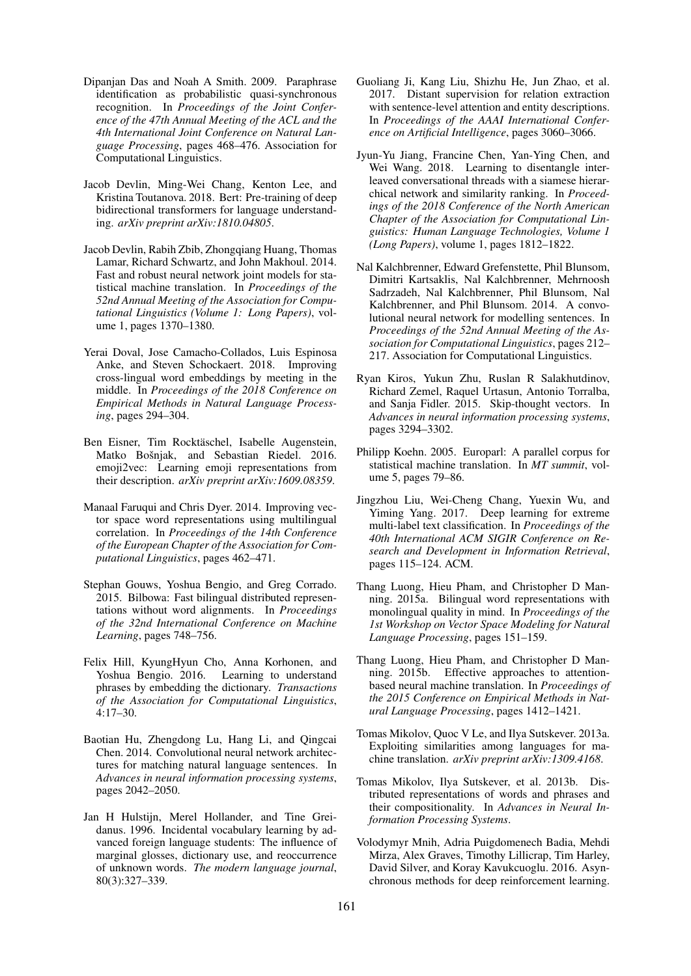- <span id="page-9-19"></span>Dipanjan Das and Noah A Smith. 2009. Paraphrase identification as probabilistic quasi-synchronous recognition. In *Proceedings of the Joint Conference of the 47th Annual Meeting of the ACL and the 4th International Joint Conference on Natural Language Processing*, pages 468–476. Association for Computational Linguistics.
- <span id="page-9-15"></span>Jacob Devlin, Ming-Wei Chang, Kenton Lee, and Kristina Toutanova. 2018. Bert: Pre-training of deep bidirectional transformers for language understanding. *arXiv preprint arXiv:1810.04805*.
- <span id="page-9-0"></span>Jacob Devlin, Rabih Zbib, Zhongqiang Huang, Thomas Lamar, Richard Schwartz, and John Makhoul. 2014. Fast and robust neural network joint models for statistical machine translation. In *Proceedings of the 52nd Annual Meeting of the Association for Computational Linguistics (Volume 1: Long Papers)*, volume 1, pages 1370–1380.
- <span id="page-9-8"></span>Yerai Doval, Jose Camacho-Collados, Luis Espinosa Anke, and Steven Schockaert. 2018. Improving cross-lingual word embeddings by meeting in the middle. In *Proceedings of the 2018 Conference on Empirical Methods in Natural Language Processing*, pages 294–304.
- <span id="page-9-11"></span>Ben Eisner, Tim Rocktäschel, Isabelle Augenstein, Matko Bošnjak, and Sebastian Riedel. 2016. emoji2vec: Learning emoji representations from their description. *arXiv preprint arXiv:1609.08359*.
- <span id="page-9-7"></span>Manaal Faruqui and Chris Dyer. 2014. Improving vector space word representations using multilingual correlation. In *Proceedings of the 14th Conference of the European Chapter of the Association for Computational Linguistics*, pages 462–471.
- <span id="page-9-1"></span>Stephan Gouws, Yoshua Bengio, and Greg Corrado. 2015. Bilbowa: Fast bilingual distributed representations without word alignments. In *Proceedings of the 32nd International Conference on Machine Learning*, pages 748–756.
- <span id="page-9-3"></span>Felix Hill, KyungHyun Cho, Anna Korhonen, and Yoshua Bengio. 2016. Learning to understand phrases by embedding the dictionary. *Transactions of the Association for Computational Linguistics*, 4:17–30.
- <span id="page-9-20"></span>Baotian Hu, Zhengdong Lu, Hang Li, and Qingcai Chen. 2014. Convolutional neural network architectures for matching natural language sentences. In *Advances in neural information processing systems*, pages 2042–2050.
- <span id="page-9-5"></span>Jan H Hulstijn, Merel Hollander, and Tine Greidanus. 1996. Incidental vocabulary learning by advanced foreign language students: The influence of marginal glosses, dictionary use, and reoccurrence of unknown words. *The modern language journal*, 80(3):327–339.
- <span id="page-9-10"></span>Guoliang Ji, Kang Liu, Shizhu He, Jun Zhao, et al. 2017. Distant supervision for relation extraction with sentence-level attention and entity descriptions. In *Proceedings of the AAAI International Conference on Artificial Intelligence*, pages 3060–3066.
- <span id="page-9-4"></span>Jyun-Yu Jiang, Francine Chen, Yan-Ying Chen, and Wei Wang. 2018. Learning to disentangle interleaved conversational threads with a siamese hierarchical network and similarity ranking. In *Proceedings of the 2018 Conference of the North American Chapter of the Association for Computational Linguistics: Human Language Technologies, Volume 1 (Long Papers)*, volume 1, pages 1812–1822.
- <span id="page-9-13"></span>Nal Kalchbrenner, Edward Grefenstette, Phil Blunsom, Dimitri Kartsaklis, Nal Kalchbrenner, Mehrnoosh Sadrzadeh, Nal Kalchbrenner, Phil Blunsom, Nal Kalchbrenner, and Phil Blunsom. 2014. A convolutional neural network for modelling sentences. In *Proceedings of the 52nd Annual Meeting of the Association for Computational Linguistics*, pages 212– 217. Association for Computational Linguistics.
- <span id="page-9-9"></span>Ryan Kiros, Yukun Zhu, Ruslan R Salakhutdinov, Richard Zemel, Raquel Urtasun, Antonio Torralba, and Sanja Fidler. 2015. Skip-thought vectors. In *Advances in neural information processing systems*, pages 3294–3302.
- <span id="page-9-17"></span>Philipp Koehn. 2005. Europarl: A parallel corpus for statistical machine translation. In *MT summit*, volume 5, pages 79–86.
- <span id="page-9-14"></span>Jingzhou Liu, Wei-Cheng Chang, Yuexin Wu, and Yiming Yang. 2017. Deep learning for extreme multi-label text classification. In *Proceedings of the 40th International ACM SIGIR Conference on Research and Development in Information Retrieval*, pages 115–124. ACM.
- <span id="page-9-2"></span>Thang Luong, Hieu Pham, and Christopher D Manning. 2015a. Bilingual word representations with monolingual quality in mind. In *Proceedings of the 1st Workshop on Vector Space Modeling for Natural Language Processing*, pages 151–159.
- <span id="page-9-12"></span>Thang Luong, Hieu Pham, and Christopher D Manning. 2015b. Effective approaches to attentionbased neural machine translation. In *Proceedings of the 2015 Conference on Empirical Methods in Natural Language Processing*, pages 1412–1421.
- <span id="page-9-6"></span>Tomas Mikolov, Quoc V Le, and Ilya Sutskever. 2013a. Exploiting similarities among languages for machine translation. *arXiv preprint arXiv:1309.4168*.
- <span id="page-9-16"></span>Tomas Mikolov, Ilya Sutskever, et al. 2013b. Distributed representations of words and phrases and their compositionality. In *Advances in Neural Information Processing Systems*.
- <span id="page-9-18"></span>Volodymyr Mnih, Adria Puigdomenech Badia, Mehdi Mirza, Alex Graves, Timothy Lillicrap, Tim Harley, David Silver, and Koray Kavukcuoglu. 2016. Asynchronous methods for deep reinforcement learning.